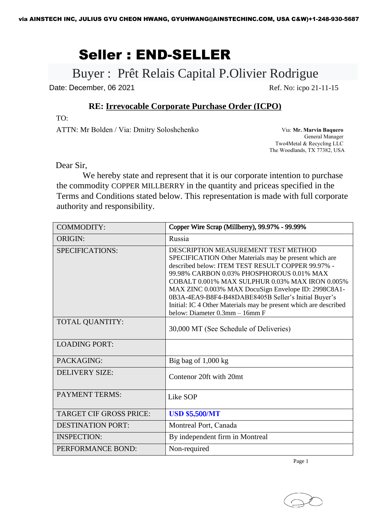## Seller : END-SELLER

### Buyer : Prêt Relais Capital P.Olivier Rodrigue

Date: December, 06 2021 Ref. No: icpo 21-11-15

#### **RE: [Irrevocable](http://www.tccim.ir/images/docs/form9.doc) Corporate Purchase Order (ICP[O\)](http://www.tccim.ir/images/docs/form9.doc)**

TO:

ATTN: Mr Bolden / Via: Dmitry Soloshchenko

Via: **Mr. Marvin Baquero** General Manager Two4Metal & Recycling LLC The Woodlands, TX 77382, USA

Dear Sir,

We hereby state and represent that it is our corporate intention to purchase the commodity COPPER MILLBERRY in the quantity and priceas specified in the Terms and Conditions stated below. This representation is made with full corporate authority and responsibility.

| <b>COMMODITY:</b>              | Copper Wire Scrap (Millberry), 99.97% - 99.99%                                                                                                                                                                                                                                                                                                                                                                                                                                 |
|--------------------------------|--------------------------------------------------------------------------------------------------------------------------------------------------------------------------------------------------------------------------------------------------------------------------------------------------------------------------------------------------------------------------------------------------------------------------------------------------------------------------------|
| <b>ORIGIN:</b>                 | Russia                                                                                                                                                                                                                                                                                                                                                                                                                                                                         |
| SPECIFICATIONS:                | DESCRIPTION MEASUREMENT TEST METHOD<br>SPECIFICATION Other Materials may be present which are<br>described below: ITEM TEST RESULT COPPER 99.97% -<br>99.98% CARBON 0.03% PHOSPHOROUS 0.01% MAX<br><b>COBALT 0.001% MAX SULPHUR 0.03% MAX IRON 0.005%</b><br>MAX ZINC 0.003% MAX DocuSign Envelope ID: 2998C8A1-<br>0B3A-4EA9-B8F4-B48DABE8405B Seller's Initial Buyer's<br>Initial: IC 4 Other Materials may be present which are described<br>below: Diameter 0.3mm - 16mm F |
| <b>TOTAL QUANTITY:</b>         | 30,000 MT (See Schedule of Deliveries)                                                                                                                                                                                                                                                                                                                                                                                                                                         |
| <b>LOADING PORT:</b>           |                                                                                                                                                                                                                                                                                                                                                                                                                                                                                |
| PACKAGING:                     | Big bag of $1,000$ kg                                                                                                                                                                                                                                                                                                                                                                                                                                                          |
| <b>DELIVERY SIZE:</b>          | Contenor 20ft with 20mt                                                                                                                                                                                                                                                                                                                                                                                                                                                        |
| <b>PAYMENT TERMS:</b>          | Like SOP                                                                                                                                                                                                                                                                                                                                                                                                                                                                       |
| <b>TARGET CIF GROSS PRICE:</b> | <b>USD \$5,500/MT</b>                                                                                                                                                                                                                                                                                                                                                                                                                                                          |
| <b>DESTINATION PORT:</b>       | Montreal Port, Canada                                                                                                                                                                                                                                                                                                                                                                                                                                                          |
| <b>INSPECTION:</b>             | By independent firm in Montreal                                                                                                                                                                                                                                                                                                                                                                                                                                                |
| PERFORMANCE BOND:              | Non-required                                                                                                                                                                                                                                                                                                                                                                                                                                                                   |

Page 1

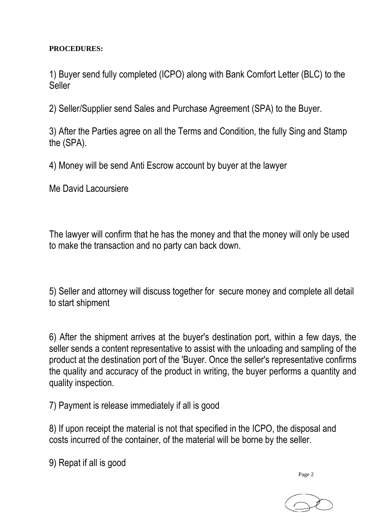#### **PROCEDURES:**

1) Buyer send fully completed (ICPO) along with Bank Comfort Letter (BLC) to the Seller

2) Seller/Supplier send Sales and Purchase Agreement (SPA) to the Buyer.

3) After the Parties agree on all the Terms and Condition, the fully Sing and Stamp the (SPA).

4) Money will be send Anti Escrow account by buyer at the lawyer

Me David Lacoursiere

The lawyer will confirm that he has the money and that the money will only be used to make the transaction and no party can back down.

5) Seller and attorney will discuss together for secure money and complete all detail to start shipment

6) After the shipment arrives at the buyer's destination port, within a few days, the seller sends a content representative to assist with the unloading and sampling of the product at the destination port of the 'Buyer. Once the seller's representative confirms the quality and accuracy of the product in writing, the buyer performs a quantity and quality inspection.

7) Payment is release immediately if all is good

8) If upon receipt the material is not that specified in the ICPO, the disposal and costs incurred of the container, of the material will be borne by the seller.

9) Repat if all is good

Page 2

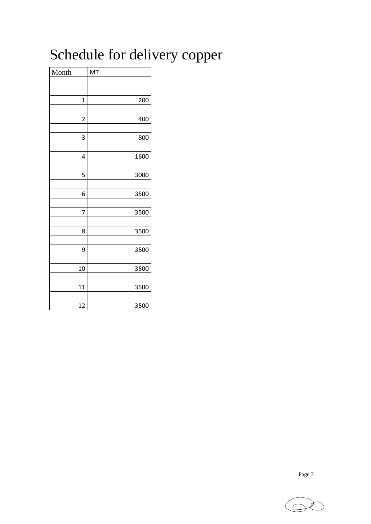# Schedule for delivery copper

| Month          | MT   |
|----------------|------|
|                |      |
|                |      |
| $\overline{1}$ | 200  |
|                |      |
| $\overline{2}$ | 400  |
| 3              | 800  |
|                |      |
| 4              | 1600 |
|                |      |
| 5              | 3000 |
|                |      |
| 6              | 3500 |
|                |      |
| 7              | 3500 |
| 8              |      |
|                | 3500 |
| 9              | 3500 |
|                |      |
| 10             | 3500 |
|                |      |
| 11             | 3500 |
|                |      |
| 12             | 3500 |

Page 3